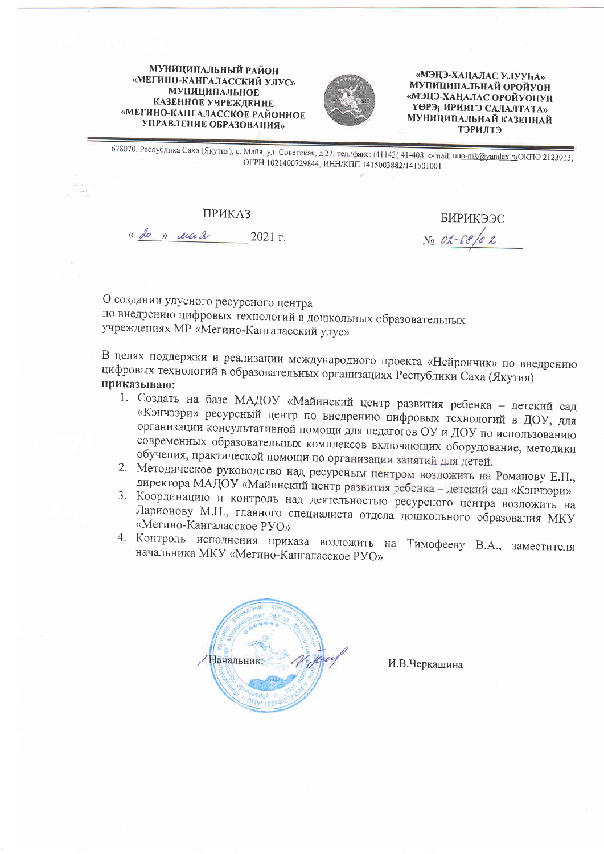МУНИЦИПАЛЬНЫЙ РАЙОН «МЕГИНО-КАНГАЛАССКИЙ УЛУС» **МУНИЦИПАЛЬНОЕ** КАЗЕННОЕ УЧРЕЖДЕНИЕ «МЕГИНО-КАНГАЛАССКОЕ РАЙОННОЕ УПРАВЛЕНИЕ ОБРАЗОВАНИЯ»



«МЭҢЭ-ХАҢАЛАС УЛУУҺА» МУНИЦИПАЛЬНАЙ ОРОЙУОН «МЭҢЭ-ХАҢАЛАС ОРОЙУОНУН ҮӨРЭ; ИРИИГЭ САЛАЛТАТА» МУНИЦИПАЛЬНАЙ КАЗЕННАЙ **СТПИЧЕТ** 

678070, Республика Саха (Якутия), с. Майя, ул. Советская, д.27, тел./факс: (41143) 41-408, e-mail: uuo-mk@yandex.ruOKПO 2123913, ОГРН 1021400729844, ИНН/КПП 1415003882/141501001

## **ПРИКАЗ**

« do » ua 2 2021 r.

БИРИКЭЭС No 02-68/02

О создании улусного ресурсного центра по внедрению цифровых технологий в дошкольных образовательных учреждениях МР «Мегино-Кангаласский улус»

В целях поддержки и реализации международного проекта «Нейрончик» по внедрению цифровых технологий в образовательных организациях Республики Саха (Якутия) приказываю:

- 1. Создать на базе МАДОУ «Майинский центр развития ребенка детский сад «Кэнчээри» ресурсный центр по внедрению цифровых технологий в ДОУ, для организации консультативной помощи для педагогов ОУ и ДОУ по использованию современных образовательных комплексов включающих оборудование, методики обучения, практической помощи по организации занятий для детей.
- 2. Методическое руководство над ресурсным центром возложить на Романову Е.П., директора МАДОУ «Майинский центр развития ребенка - детский сад «Кэнчээри»
- 3. Координацию и контроль над деятельностью ресурсного центра возложить на Ларионову М.Н., главного специалиста отдела дошкольного образования МКУ «Мегино-Кангаласское РУО»
- 4. Контроль исполнения приказа возложить на Тимофееву В.А., заместителя начальника МКУ «Мегино-Кангаласское РУО»



И.В.Черкашина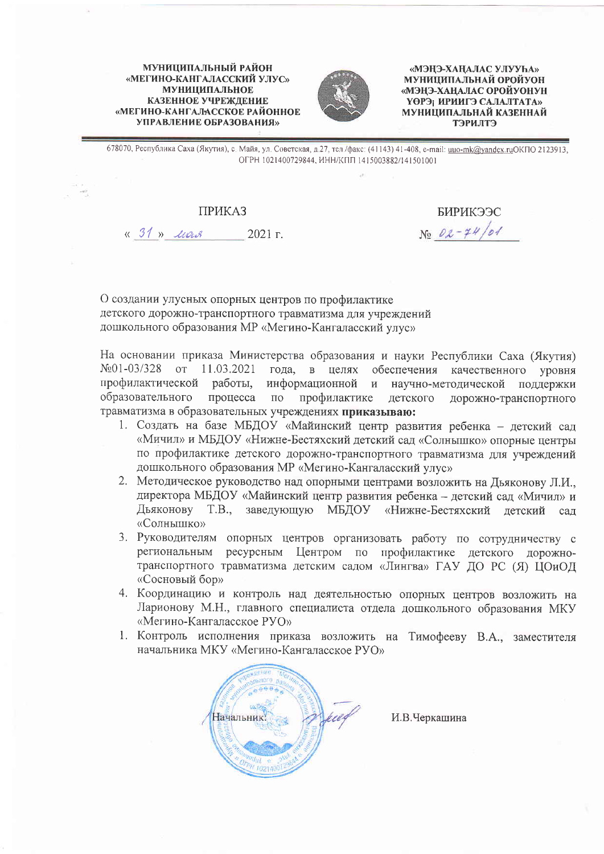**МУНИЦИПАЛЬНЫЙ РАЙОН** «МЕГИНО-КАНГАЛАССКИЙ УЛУС» **МУНИЦИПАЛЬНОЕ** КАЗЕННОЕ УЧРЕЖЛЕНИЕ «МЕГИНО-КАНГАЛАССКОЕ РАЙОННОЕ УПРАВЛЕНИЕ ОБРАЗОВАНИЯ»



«МЭНЭ-ХАНАЛАС УЛУУҺА» МУНИЦИПАЛЬНАЙ ОРОЙУОН «МЭНЭ-ХАНАЛАС ОРОЙУОНУН ҮӨРЭ; ИРИИГЭ САЛАЛТАТА» МУНИЦИПАЛЬНАЙ КАЗЕННАЙ **СТІЛИЧЄТ** 

678070, Республика Саха (Якутия), с. Майя, ул. Советская, д.27, тел./факс: (41143) 41-408, e-mail: uuo-mk@yandex.ruОКПО 2123913, ОГРН 1021400729844, ИНН/КПП 1415003882/141501001

## **ПРИКАЗ**

« 31 » usus 2021 г.

БИРИКЭЭС  $N_2$   $02 - 74/01$ 

О создании улусных опорных центров по профилактике детского дорожно-транспортного травматизма для учреждений дошкольного образования MP «Мегино-Кангаласский улус»

На основании приказа Министерства образования и науки Республики Саха (Якутия)  $N<sub>2</sub>01-03/328$  $O(T)$ 11.03.2021 года. в целях обеспечения качественного **VDOBHA** профилактической работы, информационной и научно-методической поддержки образовательного процесса по профилактике детского дорожно-транспортного травматизма в образовательных учреждениях приказываю:

- 1. Создать на базе МБДОУ «Майинский центр развития ребенка детский сад «Мичил» и МБДОУ «Нижне-Бестяхский детский сад «Солнышко» опорные центры по профилактике детского дорожно-транспортного травматизма для учреждений дошкольного образования MP «Мегино-Кангаласский улус»
- 2. Методическое руководство над опорными центрами возложить на Дьяконову Л.И., директора МБДОУ «Майинский центр развития ребенка - детский сад «Мичил» и Дьяконову Т.В., заведующую МБДОУ «Нижне-Бестяхский детский сал «Солнышко»
- 3. Руководителям опорных центров организовать работу по сотрудничеству с региональным ресурсным Центром по профилактике детского дорожнотранспортного травматизма детским садом «Лингва» ГАУ ДО РС (Я) ЦОиОД «Сосновый бор»
- 4. Координацию и контроль над деятельностью опорных центров возложить на Ларионову М.Н., главного специалиста отдела дошкольного образования МКУ «Мегино-Кангаласское РУО»
- 1. Контроль исполнения приказа возложить на Тимофееву В.А., заместителя начальника МКУ «Мегино-Кангаласское РУО»



И.В.Черкашина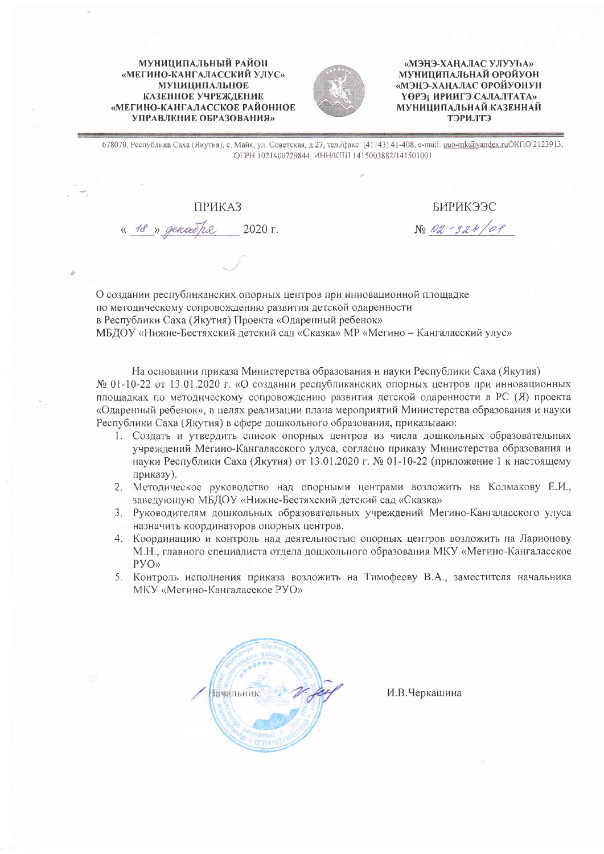## МУНИЦИПАЛЬНЫЙ РАЙОН «МЕГИНО-КАНГАЛАССКИЙ УЛУС» **МУНИЦИПАЛЬНОЕ** КАЗЕННОЕ УЧРЕЖДЕНИЕ «МЕГИНО-КАНГАЛАССКОЕ РАЙОННОЕ УПРАВЛЕНИЕ ОБРАЗОВАНИЯ»



«МЭНЭ-ХАНАЛАС УЛУУҺА» МУНИЦИПАЛЬНАЙ ОРОЙУОН «МЭНЭ-ХАНАЛАС ОРОЙУОНУН ҮӨРЭ; ИРИИГЭ САЛАЛТАТА» МУНИЦИПАЛЬНАЙ КАЗЕННАЙ **ТРИЛТЭ** 

678070, Республика Саха (Якутия), с. Майя, ул. Советская, д.27, тел./факс: (41143) 41-408, e-mail: uuo-mk@yandex.ruОКПО 2123913, ОГРН 1021400729844, ИНН/КПП 1415003882/141501001

**ПРИКАЗ** 

« 18 » general he 2020 г.

БИРИКЭЭС No 02-324/0P

О создании республиканских опорных центров при инновационной площадке по методическому сопровождению развития детской одаренности в Республики Саха (Якутия) Проекта «Одаренный ребенок» МБДОУ «Нижне-Бестяхский детский сад «Сказка» МР «Мегино - Кангаласский улус»

На основании приказа Министерства образования и науки Республики Саха (Якутия)  $N_2$  01-10-22 от 13.01.2020 г. «О создании республиканских опорных центров при инновационных площадках по методическому сопровождению развития детской одаренности в РС (Я) проекта «Одаренный ребенок», в целях реализации плана мероприятий Министерства образования и науки Республики Саха (Якутия) в сфере дошкольного образования, приказываю:

- 1. Создать и утвердить список опорных центров из числа дошкольных образовательных учреждений Мегино-Кангаласского улуса, согласно приказу Министерства образования и науки Республики Саха (Якутия) от 13.01.2020 г. № 01-10-22 (приложение 1 к настоящему приказу).
- 2. Методическое руководство над опорными центрами возложить на Колмакову Е.И., заведующую МБДОУ «Нижне-Бестяхский детский сад «Сказка»
- 3. Руководителям дошкольных образовательных учреждений Мегино-Кангаласского улуса назначить координаторов опорных центров.
- 4. Координацию и контроль над деятельностью опорных центров возложить на Ларионову М.Н., главного специалиста отдела дошкольного образования МКУ «Мегино-Кангаласское  $PYO<sub>2</sub>$
- 5. Контроль исполнения приказа возложить на Тимофееву В.А., заместителя начальника MKУ «Мегино-Кангаласское РУО»



И.В.Черкашина